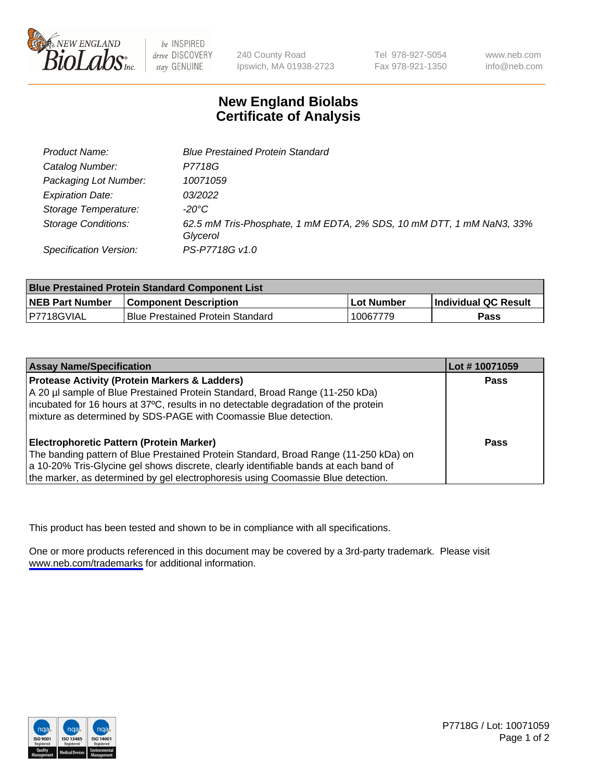

be INSPIRED drive DISCOVERY stay GENUINE

240 County Road Ipswich, MA 01938-2723 Tel 978-927-5054 Fax 978-921-1350

www.neb.com info@neb.com

## **New England Biolabs Certificate of Analysis**

| <b>Product Name:</b>          | <b>Blue Prestained Protein Standard</b>                                          |
|-------------------------------|----------------------------------------------------------------------------------|
| Catalog Number:               | P7718G                                                                           |
| Packaging Lot Number:         | 10071059                                                                         |
| <b>Expiration Date:</b>       | 03/2022                                                                          |
| Storage Temperature:          | -20°C                                                                            |
| <b>Storage Conditions:</b>    | 62.5 mM Tris-Phosphate, 1 mM EDTA, 2% SDS, 10 mM DTT, 1 mM NaN3, 33%<br>Glycerol |
| <b>Specification Version:</b> | PS-P7718G v1.0                                                                   |

| <b>Blue Prestained Protein Standard Component List</b> |                                         |             |                      |  |
|--------------------------------------------------------|-----------------------------------------|-------------|----------------------|--|
| <b>NEB Part Number</b>                                 | <b>Component Description</b>            | ∣Lot Number | Individual QC Result |  |
| IP7718GVIAL                                            | <b>Blue Prestained Protein Standard</b> | 10067779    | Pass                 |  |

| <b>Assay Name/Specification</b>                                                                                                                                     | Lot #10071059 |
|---------------------------------------------------------------------------------------------------------------------------------------------------------------------|---------------|
| <b>Protease Activity (Protein Markers &amp; Ladders)</b>                                                                                                            | <b>Pass</b>   |
| A 20 µl sample of Blue Prestained Protein Standard, Broad Range (11-250 kDa)<br>incubated for 16 hours at 37°C, results in no detectable degradation of the protein |               |
| mixture as determined by SDS-PAGE with Coomassie Blue detection.                                                                                                    |               |
| <b>Electrophoretic Pattern (Protein Marker)</b>                                                                                                                     | <b>Pass</b>   |
| The banding pattern of Blue Prestained Protein Standard, Broad Range (11-250 kDa) on                                                                                |               |
| a 10-20% Tris-Glycine gel shows discrete, clearly identifiable bands at each band of                                                                                |               |
| the marker, as determined by gel electrophoresis using Coomassie Blue detection.                                                                                    |               |

This product has been tested and shown to be in compliance with all specifications.

One or more products referenced in this document may be covered by a 3rd-party trademark. Please visit <www.neb.com/trademarks>for additional information.